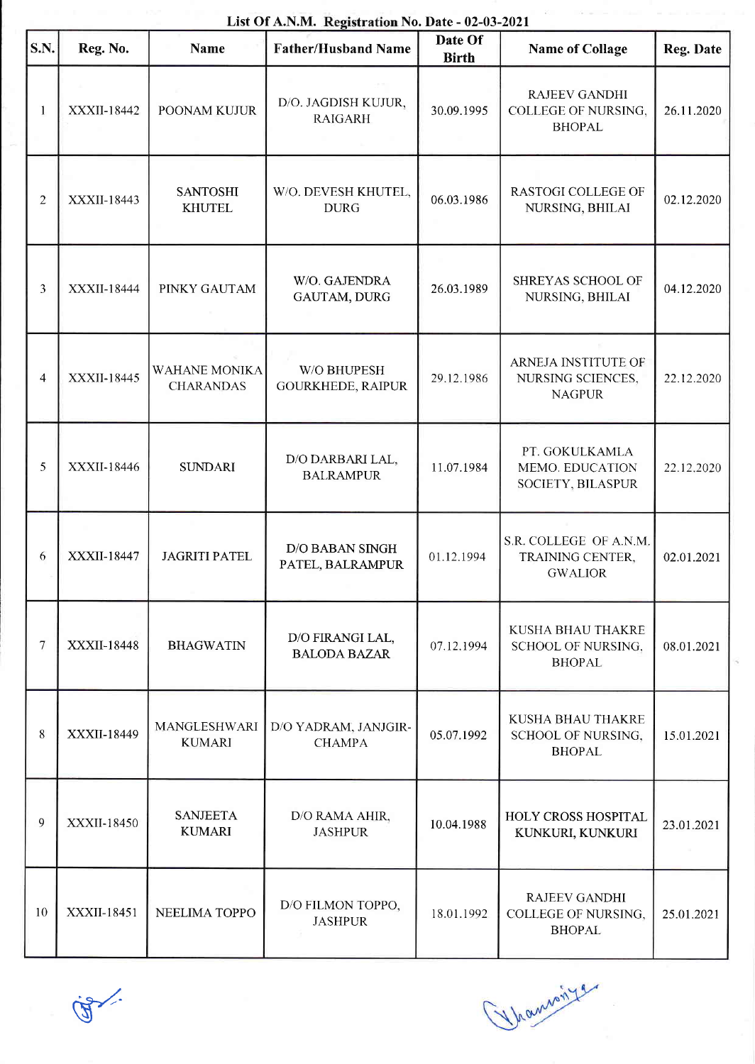| List Of A.N.M. Registration No. Date - 02-03-2021 |                    |                                          |                                         |                         |                                                                     |            |  |  |  |  |
|---------------------------------------------------|--------------------|------------------------------------------|-----------------------------------------|-------------------------|---------------------------------------------------------------------|------------|--|--|--|--|
| S.N.                                              | Reg. No.           | <b>Name</b>                              | <b>Father/Husband Name</b>              | Date Of<br><b>Birth</b> | <b>Name of Collage</b>                                              | Reg. Date  |  |  |  |  |
| 1                                                 | XXXII-18442        | POONAM KUJUR                             | D/O. JAGDISH KUJUR,<br><b>RAIGARH</b>   | 30.09.1995              | <b>RAJEEV GANDHI</b><br><b>COLLEGE OF NURSING,</b><br><b>BHOPAL</b> | 26.11.2020 |  |  |  |  |
| $\overline{2}$                                    | XXXII-18443        | <b>SANTOSHI</b><br><b>KHUTEL</b>         | W/O. DEVESH KHUTEL,<br><b>DURG</b>      | 06.03.1986              | <b>RASTOGI COLLEGE OF</b><br>NURSING, BHILAI                        | 02.12.2020 |  |  |  |  |
| $\mathfrak{Z}$                                    | XXXII-18444        | PINKY GAUTAM                             | W/O. GAJENDRA<br>GAUTAM, DURG           | 26.03.1989              | SHREYAS SCHOOL OF<br>NURSING, BHILAI                                | 04.12.2020 |  |  |  |  |
| $\overline{\mathbf{4}}$                           | XXXII-18445        | <b>WAHANE MONIKA</b><br><b>CHARANDAS</b> | W/O BHUPESH<br><b>GOURKHEDE, RAIPUR</b> | 29.12.1986              | ARNEJA INSTITUTE OF<br>NURSING SCIENCES,<br><b>NAGPUR</b>           | 22.12.2020 |  |  |  |  |
| 5                                                 | XXXII-18446        | <b>SUNDARI</b>                           | D/O DARBARI LAL,<br><b>BALRAMPUR</b>    | 11.07.1984              | PT. GOKULKAMLA<br>MEMO. EDUCATION<br>SOCIETY, BILASPUR              | 22.12.2020 |  |  |  |  |
| 6                                                 | <b>XXXII-18447</b> | <b>JAGRITI PATEL</b>                     | D/O BABAN SINGH<br>PATEL, BALRAMPUR     | 01.12.1994              | S.R. COLLEGE OF A.N.M.<br>TRAINING CENTER,<br><b>GWALIOR</b>        | 02.01.2021 |  |  |  |  |
| 7                                                 | XXXII-18448        | <b>BHAGWATIN</b>                         | D/O FIRANGI LAL,<br><b>BALODA BAZAR</b> | 07.12.1994              | KUSHA BHAU THAKRE<br><b>SCHOOL OF NURSING,</b><br><b>BHOPAL</b>     | 08.01.2021 |  |  |  |  |
| 8                                                 | XXXII-18449        | MANGLESHWARI<br><b>KUMARI</b>            | D/O YADRAM, JANJGIR-<br><b>CHAMPA</b>   | 05.07.1992              | KUSHA BHAU THAKRE<br>SCHOOL OF NURSING,<br><b>BHOPAL</b>            | 15.01.2021 |  |  |  |  |
| 9                                                 | XXXII-18450        | <b>SANJEETA</b><br><b>KUMARI</b>         | D/O RAMA AHIR,<br><b>JASHPUR</b>        | 10.04.1988              | HOLY CROSS HOSPITAL<br>KUNKURI, KUNKURI                             | 23.01.2021 |  |  |  |  |
| 10                                                | XXXII-18451        | NEELIMA TOPPO                            | D/O FILMON TOPPO,<br><b>JASHPUR</b>     | 18.01.1992              | <b>RAJEEV GANDHI</b><br>COLLEGE OF NURSING,<br><b>BHOPAL</b>        | 25.01.2021 |  |  |  |  |

List Of A.N.M. Registration No. Date - 02-03-2021



Thommes Theometer